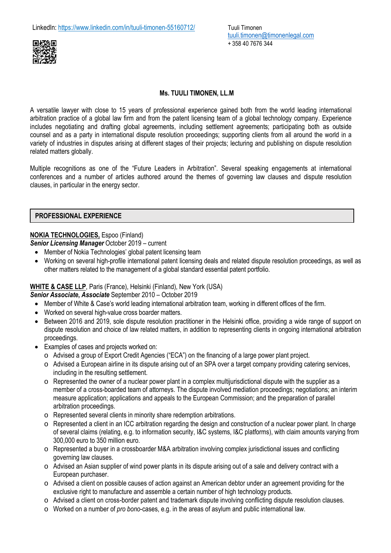

# **Ms. TUULI TIMONEN, LL.M**

A versatile lawyer with close to 15 years of professional experience gained both from the world leading international arbitration practice of a global law firm and from the patent licensing team of a global technology company. Experience includes negotiating and drafting global agreements, including settlement agreements; participating both as outside counsel and as a party in international dispute resolution proceedings; supporting clients from all around the world in a variety of industries in disputes arising at different stages of their projects; lecturing and publishing on dispute resolution related matters globally.

Multiple recognitions as one of the "Future Leaders in Arbitration". Several speaking engagements at international conferences and a number of articles authored around the themes of governing law clauses and dispute resolution clauses, in particular in the energy sector.

#### **PROFESSIONAL EXPERIENCE**

#### **NOKIA TECHNOLOGIES,** Espoo (Finland)

*Senior Licensing Manager* October 2019 – current

- Member of Nokia Technologies' global patent licensing team
- Working on several high-profile international patent licensing deals and related dispute resolution proceedings, as well as other matters related to the management of a global standard essential patent portfolio.

## **WHITE & CASE LLP**, Paris (France), Helsinki (Finland), New York (USA)

*Senior Associate***,** *Associate* September 2010 – October 2019

- Member of White & Case's world leading international arbitration team, working in different offices of the firm.
- Worked on several high-value cross boarder matters.
- Between 2016 and 2019, sole dispute resolution practitioner in the Helsinki office, providing a wide range of support on dispute resolution and choice of law related matters, in addition to representing clients in ongoing international arbitration proceedings.
- Examples of cases and projects worked on:
	- o Advised a group of Export Credit Agencies ("ECA") on the financing of a large power plant project.
	- o Advised a European airline in its dispute arising out of an SPA over a target company providing catering services, including in the resulting settlement.
	- o Represented the owner of a nuclear power plant in a complex multijurisdictional dispute with the supplier as a member of a cross-boarded team of attorneys. The dispute involved mediation proceedings; negotiations; an interim measure application; applications and appeals to the European Commission; and the preparation of parallel arbitration proceedings.
	- o Represented several clients in minority share redemption arbitrations.
	- $\circ$  Represented a client in an ICC arbitration regarding the design and construction of a nuclear power plant. In charge of several claims (relating, e.g. to information security, I&C systems, I&C platforms), with claim amounts varying from 300,000 euro to 350 million euro.
	- o Represented a buyer in a crossboarder M&A arbitration involving complex jurisdictional issues and conflicting governing law clauses.
	- $\circ$  Advised an Asian supplier of wind power plants in its dispute arising out of a sale and delivery contract with a European purchaser.
	- o Advised a client on possible causes of action against an American debtor under an agreement providing for the exclusive right to manufacture and assemble a certain number of high technology products.
	- o Advised a client on cross-border patent and trademark dispute involving conflicting dispute resolution clauses.
	- o Worked on a number of *pro bono*-cases, e.g. in the areas of asylum and public international law.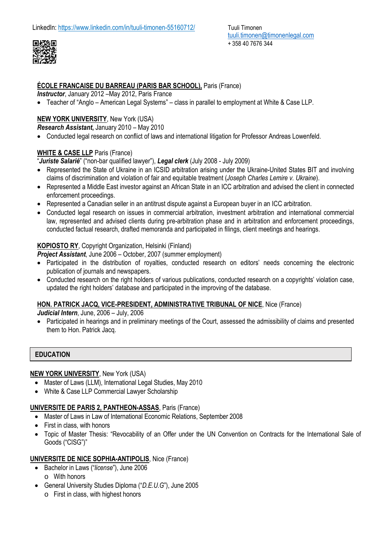

#### **ÉCOLE FRANCAISE DU BARREAU (PARIS BAR SCHOOL),** Paris (France)

*Instructor*, January 2012 –May 2012, Paris France

Teacher of "Anglo – American Legal Systems" – class in parallel to employment at White & Case LLP.

# **NEW YORK UNIVERSITY**, New York (USA)

*Research Assistant***,** January 2010 – May 2010

Conducted legal research on conflict of laws and international litigation for Professor Andreas Lowenfeld.

## **WHITE & CASE LLP** Paris (France)

"*Juriste Salarié*" ("non-bar qualified lawyer"), *Legal clerk* (July 2008 - July 2009)

- Represented the State of Ukraine in an ICSID arbitration arising under the Ukraine-United States BIT and involving claims of discrimination and violation of fair and equitable treatment (*Joseph Charles Lemire v. Ukraine*).
- Represented a Middle East investor against an African State in an ICC arbitration and advised the client in connected enforcement proceedings.
- Represented a Canadian seller in an antitrust dispute against a European buyer in an ICC arbitration.
- Conducted legal research on issues in commercial arbitration, investment arbitration and international commercial law, represented and advised clients during pre-arbitration phase and in arbitration and enforcement proceedings, conducted factual research, drafted memoranda and participated in filings, client meetings and hearings.

## **KOPIOSTO RY**, Copyright Organization, Helsinki (Finland)

*Project Assistant*, June 2006 – October, 2007 (summer employment)

- Participated in the distribution of royalties, conducted research on editors' needs concerning the electronic publication of journals and newspapers.
- Conducted research on the right holders of various publications, conducted research on a copyrights' violation case, updated the right holders' database and participated in the improving of the database.

#### **HON. PATRICK JACQ, VICE-PRESIDENT, ADMINISTRATIVE TRIBUNAL OF NICE**, Nice (France)

*Judicial Intern*, June, 2006 – July, 2006

 Participated in hearings and in preliminary meetings of the Court, assessed the admissibility of claims and presented them to Hon. Patrick Jacq.

## **EDUCATION**

#### **NEW YORK UNIVERSITY**, New York (USA)

- Master of Laws (LLM), International Legal Studies, May 2010
- White & Case LLP Commercial Lawyer Scholarship

## **UNIVERSITE DE PARIS 2, PANTHEON-ASSAS**, Paris (France)

- Master of Laws in Law of International Economic Relations, September 2008
- First in class, with honors
- Topic of Master Thesis: "Revocability of an Offer under the UN Convention on Contracts for the International Sale of Goods ("CISG")"

## **UNIVERSITE DE NICE SOPHIA-ANTIPOLIS**, Nice (France)

- Bachelor in Laws ("*license*"), June 2006 o With honors
- General University Studies Diploma ("*D.E.U.G*"), June 2005
	- o First in class, with highest honors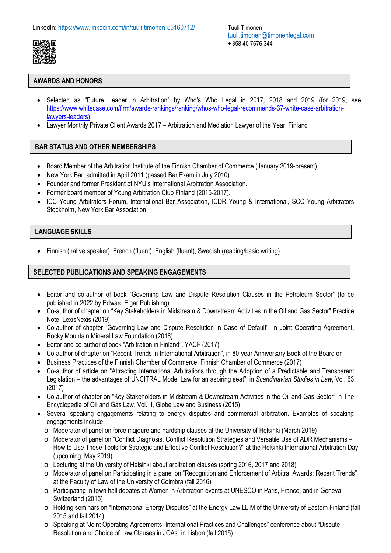

# **AWARDS AND HONORS**

- Selected as "Future Leader in Arbitration" by Who's Who Legal in 2017, 2018 and 2019 (for 2019, see [https://www.whitecase.com/firm/awards-rankings/ranking/whos-who-legal-recommends-37-white-case-arbitration](https://www.whitecase.com/firm/awards-rankings/ranking/whos-who-legal-recommends-37-white-case-arbitration-lawyers-leaders))[lawyers-leaders\)](https://www.whitecase.com/firm/awards-rankings/ranking/whos-who-legal-recommends-37-white-case-arbitration-lawyers-leaders))
- Lawyer Monthly Private Client Awards 2017 Arbitration and Mediation Lawyer of the Year, Finland

# **BAR STATUS AND OTHER MEMBERSHIPS**

- Board Member of the Arbitration Institute of the Finnish Chamber of Commerce (January 2019-present).
- New York Bar, admitted in April 2011 (passed Bar Exam in July 2010).
- Founder and former President of NYU's International Arbitration Association.
- Former board member of Young Arbitration Club Finland (2015-2017).
- ICC Young Arbitrators Forum, International Bar Association, ICDR Young & International, SCC Young Arbitrators Stockholm, New York Bar Association.

## **LANGUAGE SKILLS**

Finnish (native speaker), French (fluent), English (fluent), Swedish (reading/basic writing).

#### **SELECTED PUBLICATIONS AND SPEAKING ENGAGEMENTS**

- Editor and co-author of book "Governing Law and Dispute Resolution Clauses in the Petroleum Sector" (to be published in 2022 by Edward Elgar Publishing)
- Co-author of chapter on "Key Stakeholders in Midstream & Downstream Activities in the Oil and Gas Sector" Practice Note, LexisNexis (2019)
- Co-author of chapter "Governing Law and Dispute Resolution in Case of Default", in Joint Operating Agreement, Rocky Mountain Mineral Law Foundation (2018)
- Editor and co-author of book "Arbitration in Finland", YACF (2017)
- Co-author of chapter on "Recent Trends in International Arbitration", in 80-year Anniversary Book of the Board on
- Business Practices of the Finnish Chamber of Commerce, Finnish Chamber of Commerce (2017)
- Co-author of article on "Attracting International Arbitrations through the Adoption of a Predictable and Transparent Legislation – the advantages of UNCITRAL Model Law for an aspiring seat", in *Scandinavian Studies in Law*, Vol. 63 (2017)
- Co-author of chapter on "Key Stakeholders in Midstream & Downstream Activities in the Oil and Gas Sector" in The Encyclopedia of Oil and Gas Law, Vol. II, Globe Law and Business (2015)
- Several speaking engagements relating to energy disputes and commercial arbitration. Examples of speaking engagements include:
	- o Moderator of panel on force majeure and hardship clauses at the University of Helsinki (March 2019)
	- o Moderator of panel on "Conflict Diagnosis, Conflict Resolution Strategies and Versatile Use of ADR Mechanisms How to Use These Tools for Strategic and Effective Conflict Resolution?" at the Helsinki International Arbitration Day (upcoming, May 2019)
	- o Lecturing at the University of Helsinki about arbitration clauses (spring 2016, 2017 and 2018)
	- o Moderator of panel on Participating in a panel on "Recognition and Enforcement of Arbitral Awards: Recent Trends" at the Faculty of Law of the University of Coimbra (fall 2016)
	- o Participating in town hall debates at Women in Arbitration events at UNESCO in Paris, France, and in Geneva, Switzerland (2015)
	- o Holding seminars on "International Energy Disputes" at the Energy Law LL.M of the University of Eastern Finland (fall 2015 and fall 2014)
	- o Speaking at "Joint Operating Agreements: International Practices and Challenges" conference about "Dispute Resolution and Choice of Law Clauses in JOAs" in Lisbon (fall 2015)